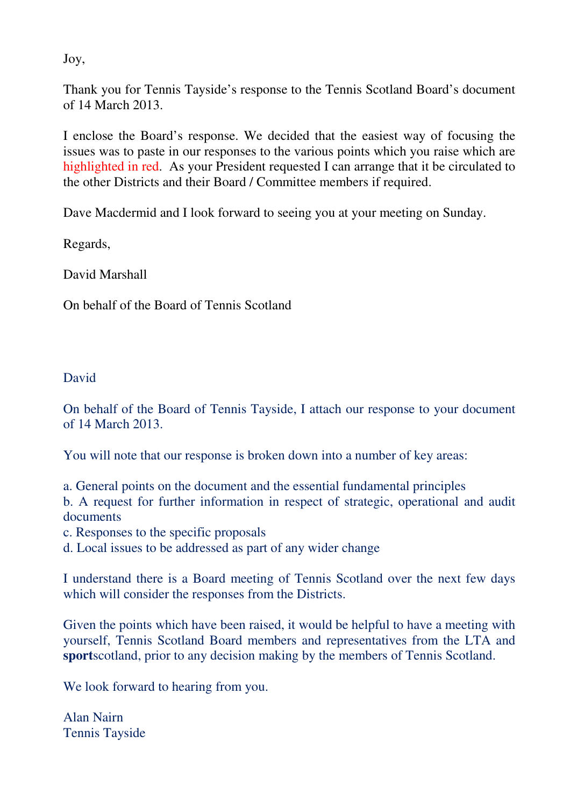Joy,

Thank you for Tennis Tayside's response to the Tennis Scotland Board's document of 14 March 2013.

I enclose the Board's response. We decided that the easiest way of focusing the issues was to paste in our responses to the various points which you raise which are highlighted in red. As your President requested I can arrange that it be circulated to the other Districts and their Board / Committee members if required.

Dave Macdermid and I look forward to seeing you at your meeting on Sunday.

Regards,

David Marshall

On behalf of the Board of Tennis Scotland

### David

On behalf of the Board of Tennis Tayside, I attach our response to your document of 14 March 2013.

You will note that our response is broken down into a number of key areas:

a. General points on the document and the essential fundamental principles b. A request for further information in respect of strategic, operational and audit documents

c. Responses to the specific proposals

d. Local issues to be addressed as part of any wider change

I understand there is a Board meeting of Tennis Scotland over the next few days which will consider the responses from the Districts.

Given the points which have been raised, it would be helpful to have a meeting with yourself, Tennis Scotland Board members and representatives from the LTA and **sport**scotland, prior to any decision making by the members of Tennis Scotland.

We look forward to hearing from you.

Alan Nairn Tennis Tayside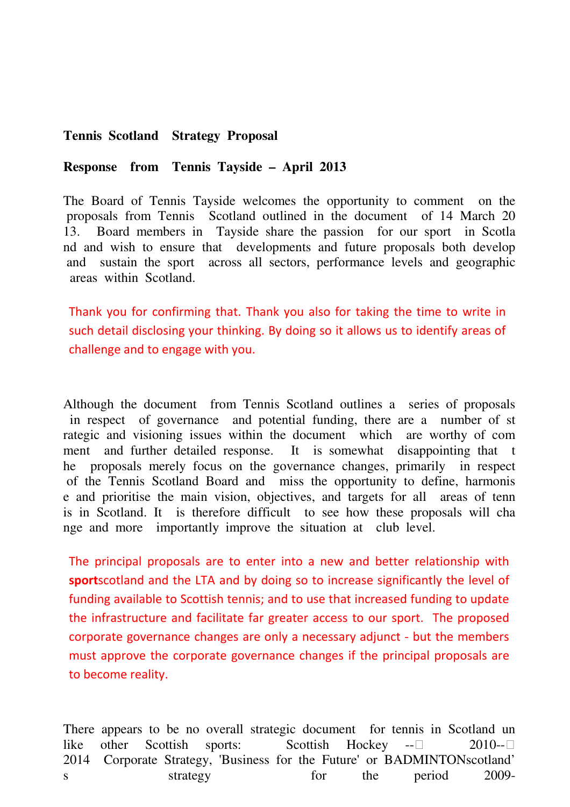### **Tennis Scotland Strategy Proposal**

#### **Response from Tennis Tayside – April 2013**

The Board of Tennis Tayside welcomes the opportunity to comment on the proposals from Tennis Scotland outlined in the document of 14 March 20 13. Board members in Tayside share the passion for our sport in Scotla nd and wish to ensure that developments and future proposals both develop and sustain the sport across all sectors, performance levels and geographic areas within Scotland.

Thank you for confirming that. Thank you also for taking the time to write in such detail disclosing your thinking. By doing so it allows us to identify areas of challenge and to engage with you.

Although the document from Tennis Scotland outlines a series of proposals in respect of governance and potential funding, there are a number of st rategic and visioning issues within the document which are worthy of com ment and further detailed response. It is somewhat disappointing that t he proposals merely focus on the governance changes, primarily in respect of the Tennis Scotland Board and miss the opportunity to define, harmonis e and prioritise the main vision, objectives, and targets for all areas of tenn is in Scotland. It is therefore difficult to see how these proposals will cha nge and more importantly improve the situation at club level.

The principal proposals are to enter into a new and better relationship with sportscotland and the LTA and by doing so to increase significantly the level of funding available to Scottish tennis; and to use that increased funding to update the infrastructure and facilitate far greater access to our sport. The proposed corporate governance changes are only a necessary adjunct - but the members must approve the corporate governance changes if the principal proposals are to become reality.

There appears to be no overall strategic document for tennis in Scotland un like other Scottish sports: Scottish Hockey -- 2010-- 2014 Corporate Strategy, 'Business for the Future' or BADMINTONscotland' s strategy for the period 2009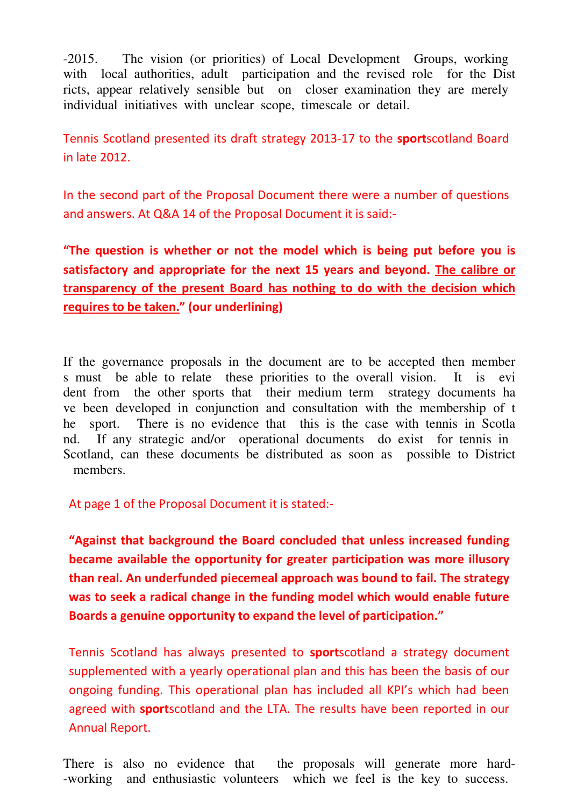-2015. The vision (or priorities) of Local Development Groups, working with local authorities, adult participation and the revised role for the Dist ricts, appear relatively sensible but on closer examination they are merely individual initiatives with unclear scope, timescale or detail.

Tennis Scotland presented its draft strategy 2013-17 to the sportscotland Board in late 2012.

In the second part of the Proposal Document there were a number of questions and answers. At Q&A 14 of the Proposal Document it is said:-

"The question is whether or not the model which is being put before you is satisfactory and appropriate for the next 15 years and beyond. The calibre or transparency of the present Board has nothing to do with the decision which requires to be taken." (our underlining)

If the governance proposals in the document are to be accepted then member s must be able to relate these priorities to the overall vision. It is evi dent from the other sports that their medium term strategy documents ha ve been developed in conjunction and consultation with the membership of t he sport. There is no evidence that this is the case with tennis in Scotla nd. If any strategic and/or operational documents do exist for tennis in Scotland, can these documents be distributed as soon as possible to District members.

At page 1 of the Proposal Document it is stated:-

"Against that background the Board concluded that unless increased funding became available the opportunity for greater participation was more illusory than real. An underfunded piecemeal approach was bound to fail. The strategy was to seek a radical change in the funding model which would enable future Boards a genuine opportunity to expand the level of participation."

Tennis Scotland has always presented to sportscotland a strategy document supplemented with a yearly operational plan and this has been the basis of our ongoing funding. This operational plan has included all KPI's which had been agreed with **sport**scotland and the LTA. The results have been reported in our Annual Report.

There is also no evidence that the proposals will generate more hard--working and enthusiastic volunteers which we feel is the key to success.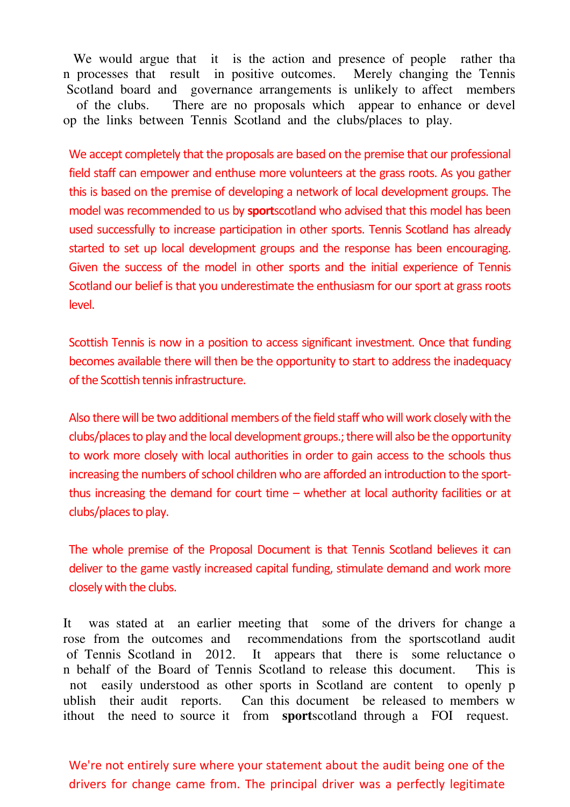We would argue that it is the action and presence of people rather than n processes that result in positive outcomes. Merely changing the Tennis Scotland board and governance arrangements is unlikely to affect members of the clubs. There are no proposals which appear to enhance or devel op the links between Tennis Scotland and the clubs/places to play.

We accept completely that the proposals are based on the premise that our professional field staff can empower and enthuse more volunteers at the grass roots. As you gather this is based on the premise of developing a network of local development groups. The model was recommended to us by **sport**scotland who advised that this model has been used successfully to increase participation in other sports. Tennis Scotland has already started to set up local development groups and the response has been encouraging. Given the success of the model in other sports and the initial experience of Tennis Scotland our belief is that you underestimate the enthusiasm for our sport at grass roots level.

Scottish Tennis is now in a position to access significant investment. Once that funding becomes available there will then be the opportunity to start to address the inadequacy of the Scottish tennis infrastructure.

Also there will be two additional members of the field staff who will work closely with the clubs/places to play and the local development groups.; there will also be the opportunity to work more closely with local authorities in order to gain access to the schools thus increasing the numbers of school children who are afforded an introduction to the sportthus increasing the demand for court time – whether at local authority facilities or at clubs/places to play.

The whole premise of the Proposal Document is that Tennis Scotland believes it can deliver to the game vastly increased capital funding, stimulate demand and work more closely with the clubs.

It was stated at an earlier meeting that some of the drivers for change a rose from the outcomes and recommendations from the sportscotland audit of Tennis Scotland in 2012. It appears that there is some reluctance o n behalf of the Board of Tennis Scotland to release this document. This is not easily understood as other sports in Scotland are content to openly p ublish their audit reports. Can this document be released to members w ithout the need to source it from **sport**scotland through a FOI request.

We're not entirely sure where your statement about the audit being one of the drivers for change came from. The principal driver was a perfectly legitimate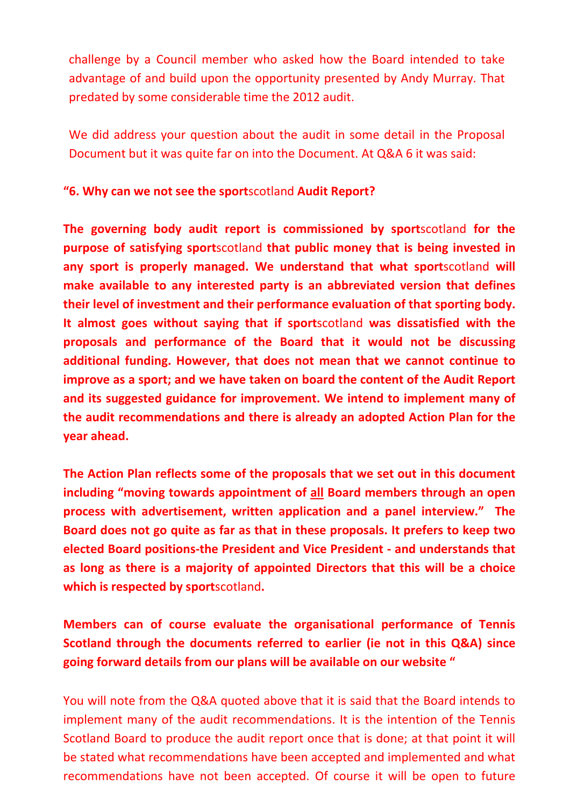challenge by a Council member who asked how the Board intended to take advantage of and build upon the opportunity presented by Andy Murray. That predated by some considerable time the 2012 audit.

We did address your question about the audit in some detail in the Proposal Document but it was quite far on into the Document. At Q&A 6 it was said:

# "6. Why can we not see the sportscotland Audit Report?

The governing body audit report is commissioned by sportscotland for the purpose of satisfying sportscotland that public money that is being invested in any sport is properly managed. We understand that what sportscotland will make available to any interested party is an abbreviated version that defines their level of investment and their performance evaluation of that sporting body. It almost goes without saying that if sportscotland was dissatisfied with the proposals and performance of the Board that it would not be discussing additional funding. However, that does not mean that we cannot continue to improve as a sport; and we have taken on board the content of the Audit Report and its suggested guidance for improvement. We intend to implement many of the audit recommendations and there is already an adopted Action Plan for the year ahead.

The Action Plan reflects some of the proposals that we set out in this document including "moving towards appointment of all Board members through an open process with advertisement, written application and a panel interview." The Board does not go quite as far as that in these proposals. It prefers to keep two elected Board positions-the President and Vice President - and understands that as long as there is a majority of appointed Directors that this will be a choice which is respected by sportscotland.

Members can of course evaluate the organisational performance of Tennis Scotland through the documents referred to earlier (ie not in this Q&A) since going forward details from our plans will be available on our website "

You will note from the Q&A quoted above that it is said that the Board intends to implement many of the audit recommendations. It is the intention of the Tennis Scotland Board to produce the audit report once that is done; at that point it will be stated what recommendations have been accepted and implemented and what recommendations have not been accepted. Of course it will be open to future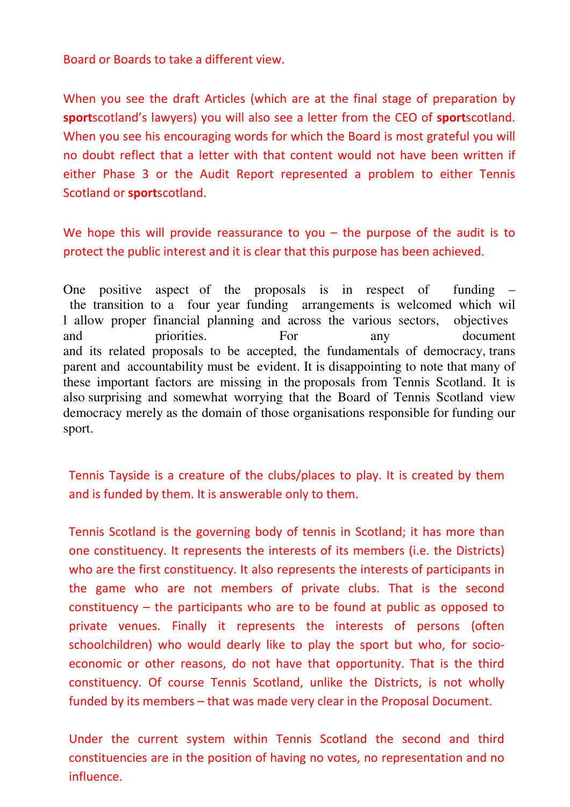Board or Boards to take a different view.

When you see the draft Articles (which are at the final stage of preparation by sportscotland's lawyers) you will also see a letter from the CEO of sportscotland. When you see his encouraging words for which the Board is most grateful you will no doubt reflect that a letter with that content would not have been written if either Phase 3 or the Audit Report represented a problem to either Tennis Scotland or **sport**scotland.

We hope this will provide reassurance to you  $-$  the purpose of the audit is to protect the public interest and it is clear that this purpose has been achieved.

One positive aspect of the proposals is in respect of funding – the transition to a four year funding arrangements is welcomed which wil l allow proper financial planning and across the various sectors, objectives and priorities. For any document and its related proposals to be accepted, the fundamentals of democracy, trans parent and accountability must be evident. It is disappointing to note that many of these important factors are missing in the proposals from Tennis Scotland. It is also surprising and somewhat worrying that the Board of Tennis Scotland view democracy merely as the domain of those organisations responsible for funding our sport.

Tennis Tayside is a creature of the clubs/places to play. It is created by them and is funded by them. It is answerable only to them.

Tennis Scotland is the governing body of tennis in Scotland; it has more than one constituency. It represents the interests of its members (i.e. the Districts) who are the first constituency. It also represents the interests of participants in the game who are not members of private clubs. That is the second constituency – the participants who are to be found at public as opposed to private venues. Finally it represents the interests of persons (often schoolchildren) who would dearly like to play the sport but who, for socioeconomic or other reasons, do not have that opportunity. That is the third constituency. Of course Tennis Scotland, unlike the Districts, is not wholly funded by its members – that was made very clear in the Proposal Document.

Under the current system within Tennis Scotland the second and third constituencies are in the position of having no votes, no representation and no influence.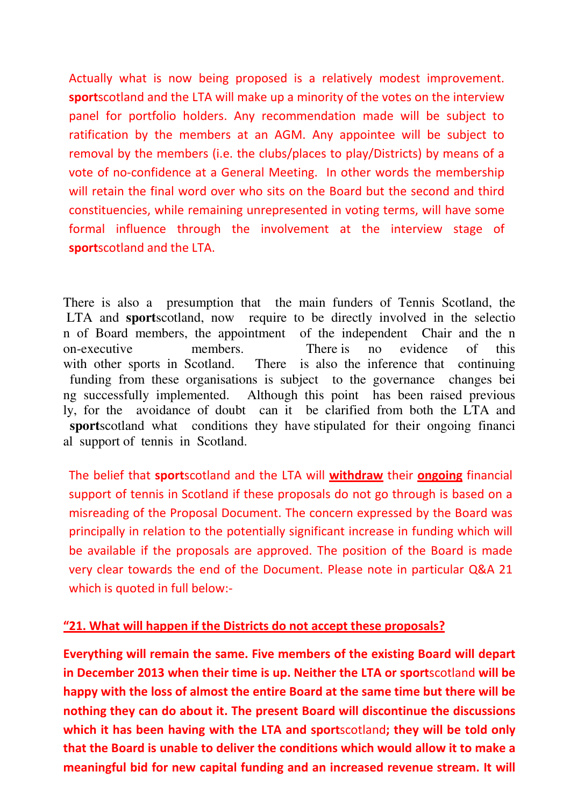Actually what is now being proposed is a relatively modest improvement. sportscotland and the LTA will make up a minority of the votes on the interview panel for portfolio holders. Any recommendation made will be subject to ratification by the members at an AGM. Any appointee will be subject to removal by the members (i.e. the clubs/places to play/Districts) by means of a vote of no-confidence at a General Meeting. In other words the membership will retain the final word over who sits on the Board but the second and third constituencies, while remaining unrepresented in voting terms, will have some formal influence through the involvement at the interview stage of sportscotland and the LTA.

There is also a presumption that the main funders of Tennis Scotland, the LTA and **sport**scotland, now require to be directly involved in the selectio n of Board members, the appointment of the independent Chair and the n on-executive members. There is no evidence of this with other sports in Scotland. There is also the inference that continuing funding from these organisations is subject to the governance changes bei ng successfully implemented. Although this point has been raised previous ly, for the avoidance of doubt can it be clarified from both the LTA and **sport**scotland what conditions they have stipulated for their ongoing financi al support of tennis in Scotland.

The belief that sportscotland and the LTA will withdraw their ongoing financial support of tennis in Scotland if these proposals do not go through is based on a misreading of the Proposal Document. The concern expressed by the Board was principally in relation to the potentially significant increase in funding which will be available if the proposals are approved. The position of the Board is made very clear towards the end of the Document. Please note in particular Q&A 21 which is quoted in full below:-

## "21. What will happen if the Districts do not accept these proposals?

Everything will remain the same. Five members of the existing Board will depart in December 2013 when their time is up. Neither the LTA or sportscotland will be happy with the loss of almost the entire Board at the same time but there will be nothing they can do about it. The present Board will discontinue the discussions which it has been having with the LTA and sportscotland; they will be told only that the Board is unable to deliver the conditions which would allow it to make a meaningful bid for new capital funding and an increased revenue stream. It will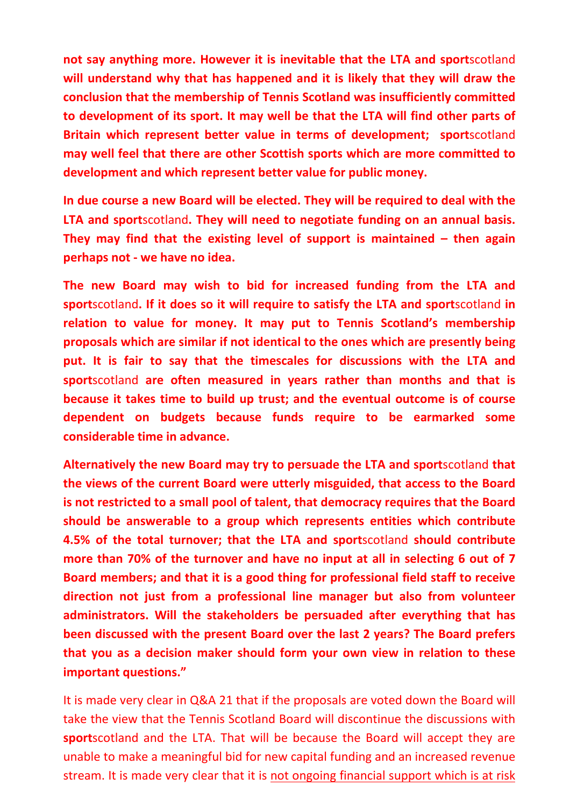not say anything more. However it is inevitable that the LTA and sportscotland will understand why that has happened and it is likely that they will draw the conclusion that the membership of Tennis Scotland was insufficiently committed to development of its sport. It may well be that the LTA will find other parts of Britain which represent better value in terms of development; sportscotland may well feel that there are other Scottish sports which are more committed to development and which represent better value for public money.

In due course a new Board will be elected. They will be required to deal with the LTA and sportscotland. They will need to negotiate funding on an annual basis. They may find that the existing level of support is maintained  $-$  then again perhaps not - we have no idea.

The new Board may wish to bid for increased funding from the LTA and sportscotland. If it does so it will require to satisfy the LTA and sportscotland in relation to value for money. It may put to Tennis Scotland's membership proposals which are similar if not identical to the ones which are presently being put. It is fair to say that the timescales for discussions with the LTA and sportscotland are often measured in years rather than months and that is because it takes time to build up trust; and the eventual outcome is of course dependent on budgets because funds require to be earmarked some considerable time in advance.

Alternatively the new Board may try to persuade the LTA and sportscotland that the views of the current Board were utterly misguided, that access to the Board is not restricted to a small pool of talent, that democracy requires that the Board should be answerable to a group which represents entities which contribute 4.5% of the total turnover; that the LTA and sportscotland should contribute more than 70% of the turnover and have no input at all in selecting 6 out of 7 Board members; and that it is a good thing for professional field staff to receive direction not just from a professional line manager but also from volunteer administrators. Will the stakeholders be persuaded after everything that has been discussed with the present Board over the last 2 years? The Board prefers that you as a decision maker should form your own view in relation to these important questions."

It is made very clear in Q&A 21 that if the proposals are voted down the Board will take the view that the Tennis Scotland Board will discontinue the discussions with sportscotland and the LTA. That will be because the Board will accept they are unable to make a meaningful bid for new capital funding and an increased revenue stream. It is made very clear that it is not ongoing financial support which is at risk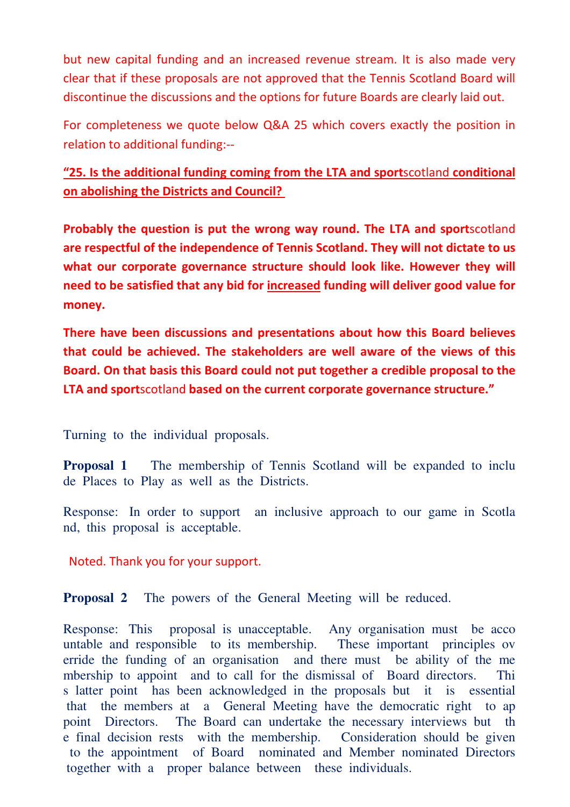but new capital funding and an increased revenue stream. It is also made very clear that if these proposals are not approved that the Tennis Scotland Board will discontinue the discussions and the options for future Boards are clearly laid out.

For completeness we quote below Q&A 25 which covers exactly the position in relation to additional funding:--

# "25. Is the additional funding coming from the LTA and sportscotland conditional on abolishing the Districts and Council?

Probably the question is put the wrong way round. The LTA and sportscotland are respectful of the independence of Tennis Scotland. They will not dictate to us what our corporate governance structure should look like. However they will need to be satisfied that any bid for increased funding will deliver good value for money.

There have been discussions and presentations about how this Board believes that could be achieved. The stakeholders are well aware of the views of this Board. On that basis this Board could not put together a credible proposal to the LTA and sportscotland based on the current corporate governance structure."

Turning to the individual proposals.

**Proposal 1** The membership of Tennis Scotland will be expanded to inclu de Places to Play as well as the Districts.

Response: In order to support an inclusive approach to our game in Scotla nd, this proposal is acceptable.

Noted. Thank you for your support.

**Proposal 2** The powers of the General Meeting will be reduced.

Response: This proposal is unacceptable. Any organisation must be acco untable and responsible to its membership. These important principles ov erride the funding of an organisation and there must be ability of the me mbership to appoint and to call for the dismissal of Board directors. Thi s latter point has been acknowledged in the proposals but it is essential that the members at a General Meeting have the democratic right to ap point Directors. The Board can undertake the necessary interviews but th e final decision rests with the membership. Consideration should be given to the appointment of Board nominated and Member nominated Directors together with a proper balance between these individuals.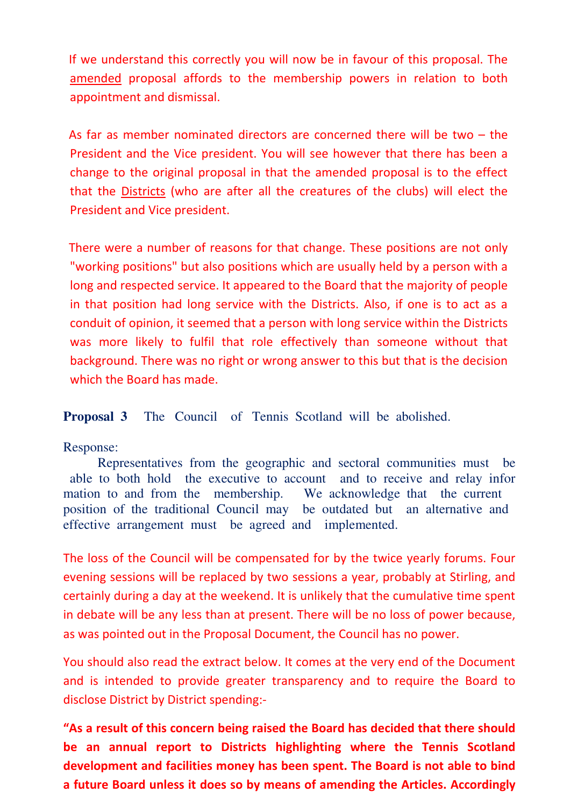If we understand this correctly you will now be in favour of this proposal. The amended proposal affords to the membership powers in relation to both appointment and dismissal.

As far as member nominated directors are concerned there will be two – the President and the Vice president. You will see however that there has been a change to the original proposal in that the amended proposal is to the effect that the Districts (who are after all the creatures of the clubs) will elect the President and Vice president.

There were a number of reasons for that change. These positions are not only "working positions" but also positions which are usually held by a person with a long and respected service. It appeared to the Board that the majority of people in that position had long service with the Districts. Also, if one is to act as a conduit of opinion, it seemed that a person with long service within the Districts was more likely to fulfil that role effectively than someone without that background. There was no right or wrong answer to this but that is the decision which the Board has made.

**Proposal 3** The Council of Tennis Scotland will be abolished.

Response:

 Representatives from the geographic and sectoral communities must be able to both hold the executive to account and to receive and relay infor mation to and from the membership. We acknowledge that the current position of the traditional Council may be outdated but an alternative and effective arrangement must be agreed and implemented.

The loss of the Council will be compensated for by the twice yearly forums. Four evening sessions will be replaced by two sessions a year, probably at Stirling, and certainly during a day at the weekend. It is unlikely that the cumulative time spent in debate will be any less than at present. There will be no loss of power because, as was pointed out in the Proposal Document, the Council has no power.

You should also read the extract below. It comes at the very end of the Document and is intended to provide greater transparency and to require the Board to disclose District by District spending:-

"As a result of this concern being raised the Board has decided that there should be an annual report to Districts highlighting where the Tennis Scotland development and facilities money has been spent. The Board is not able to bind a future Board unless it does so by means of amending the Articles. Accordingly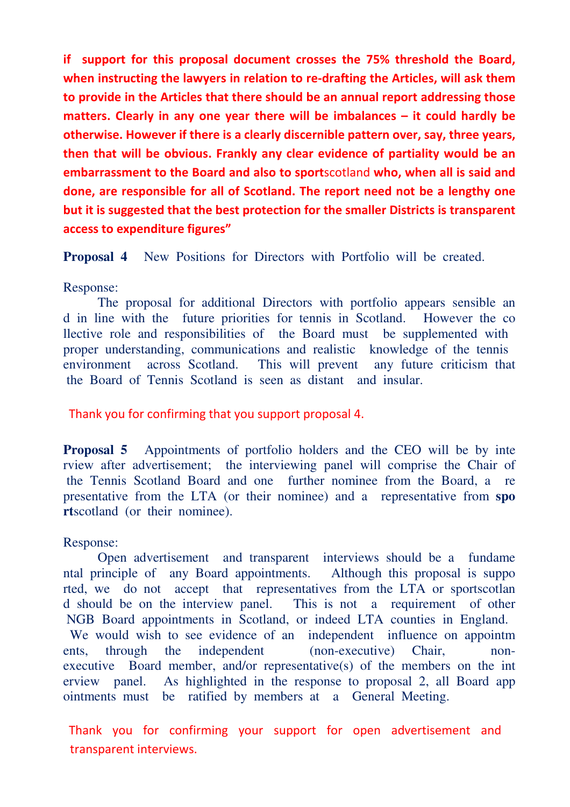if support for this proposal document crosses the 75% threshold the Board, when instructing the lawyers in relation to re-drafting the Articles, will ask them to provide in the Articles that there should be an annual report addressing those matters. Clearly in any one year there will be imbalances – it could hardly be otherwise. However if there is a clearly discernible pattern over, say, three years, then that will be obvious. Frankly any clear evidence of partiality would be an embarrassment to the Board and also to sportscotland who, when all is said and done, are responsible for all of Scotland. The report need not be a lengthy one but it is suggested that the best protection for the smaller Districts is transparent access to expenditure figures"

**Proposal 4** New Positions for Directors with Portfolio will be created.

### Response:

 The proposal for additional Directors with portfolio appears sensible an d in line with the future priorities for tennis in Scotland. However the co llective role and responsibilities of the Board must be supplemented with proper understanding, communications and realistic knowledge of the tennis environment across Scotland. This will prevent any future criticism that the Board of Tennis Scotland is seen as distant and insular.

Thank you for confirming that you support proposal 4.

**Proposal 5** Appointments of portfolio holders and the CEO will be by inte rview after advertisement; the interviewing panel will comprise the Chair of the Tennis Scotland Board and one further nominee from the Board, a re presentative from the LTA (or their nominee) and a representative from **spo rt**scotland (or their nominee).

## Response:

 Open advertisement and transparent interviews should be a fundame ntal principle of any Board appointments. Although this proposal is suppo rted, we do not accept that representatives from the LTA or sportscotlan d should be on the interview panel. This is not a requirement of other NGB Board appointments in Scotland, or indeed LTA counties in England. We would wish to see evidence of an independent influence on appointm ents, through the independent (non-executive) Chair, nonexecutive Board member, and/or representative(s) of the members on the int erview panel. As highlighted in the response to proposal 2, all Board app ointments must be ratified by members at a General Meeting.

Thank you for confirming your support for open advertisement and transparent interviews.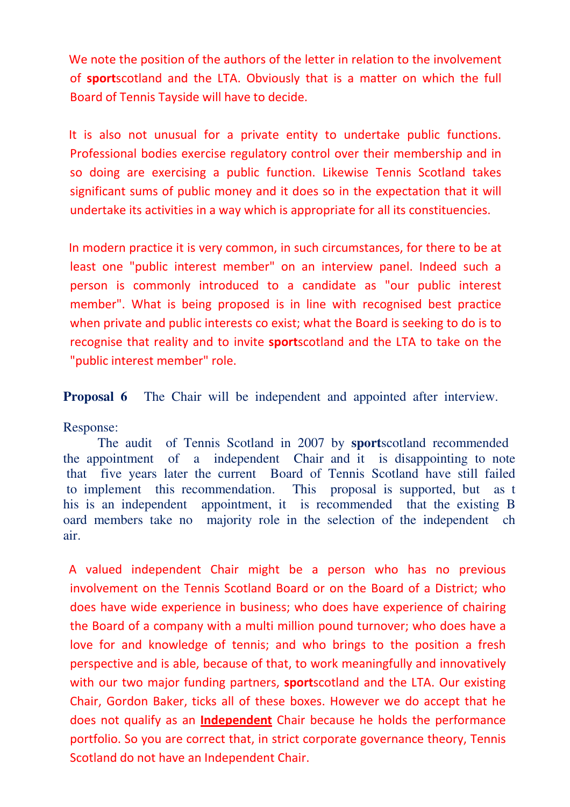We note the position of the authors of the letter in relation to the involvement of sportscotland and the LTA. Obviously that is a matter on which the full Board of Tennis Tayside will have to decide.

It is also not unusual for a private entity to undertake public functions. Professional bodies exercise regulatory control over their membership and in so doing are exercising a public function. Likewise Tennis Scotland takes significant sums of public money and it does so in the expectation that it will undertake its activities in a way which is appropriate for all its constituencies.

In modern practice it is very common, in such circumstances, for there to be at least one "public interest member" on an interview panel. Indeed such a person is commonly introduced to a candidate as "our public interest member". What is being proposed is in line with recognised best practice when private and public interests co exist; what the Board is seeking to do is to recognise that reality and to invite **sport**scotland and the LTA to take on the "public interest member" role.

**Proposal 6** The Chair will be independent and appointed after interview.

Response:

 The audit of Tennis Scotland in 2007 by **sport**scotland recommended the appointment of a independent Chair and it is disappointing to note that five years later the current Board of Tennis Scotland have still failed to implement this recommendation. This proposal is supported, but as t his is an independent appointment, it is recommended that the existing B oard members take no majority role in the selection of the independent ch air.

A valued independent Chair might be a person who has no previous involvement on the Tennis Scotland Board or on the Board of a District; who does have wide experience in business; who does have experience of chairing the Board of a company with a multi million pound turnover; who does have a love for and knowledge of tennis; and who brings to the position a fresh perspective and is able, because of that, to work meaningfully and innovatively with our two major funding partners, **sport**scotland and the LTA. Our existing Chair, Gordon Baker, ticks all of these boxes. However we do accept that he does not qualify as an **Independent** Chair because he holds the performance portfolio. So you are correct that, in strict corporate governance theory, Tennis Scotland do not have an Independent Chair.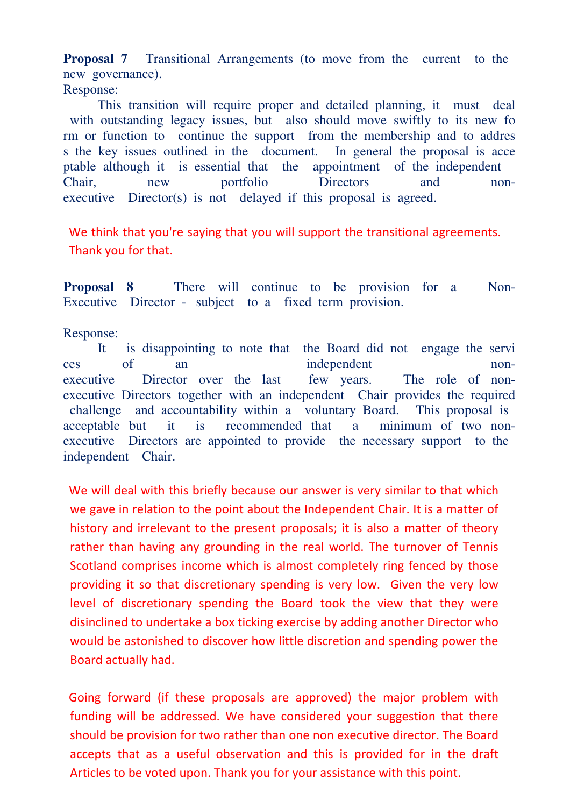**Proposal 7** Transitional Arrangements (to move from the current to the new governance). Response:

 This transition will require proper and detailed planning, it must deal with outstanding legacy issues, but also should move swiftly to its new for rm or function to continue the support from the membership and to addres s the key issues outlined in the document. In general the proposal is acce ptable although it is essential that the appointment of the independent Chair, new portfolio Directors and nonexecutive Director(s) is not delayed if this proposal is agreed.

We think that you're saying that you will support the transitional agreements. Thank you for that.

**Proposal 8** There will continue to be provision for a Non-Executive Director - subject to a fixed term provision.

Response:

 It is disappointing to note that the Board did not engage the servi ces of an independent nonexecutive Director over the last few years. The role of nonexecutive Directors together with an independent Chair provides the required challenge and accountability within a voluntary Board. This proposal is acceptable but it is recommended that a minimum of two nonexecutive Directors are appointed to provide the necessary support to the independent Chair.

We will deal with this briefly because our answer is very similar to that which we gave in relation to the point about the Independent Chair. It is a matter of history and irrelevant to the present proposals; it is also a matter of theory rather than having any grounding in the real world. The turnover of Tennis Scotland comprises income which is almost completely ring fenced by those providing it so that discretionary spending is very low. Given the very low level of discretionary spending the Board took the view that they were disinclined to undertake a box ticking exercise by adding another Director who would be astonished to discover how little discretion and spending power the Board actually had.

Going forward (if these proposals are approved) the major problem with funding will be addressed. We have considered your suggestion that there should be provision for two rather than one non executive director. The Board accepts that as a useful observation and this is provided for in the draft Articles to be voted upon. Thank you for your assistance with this point.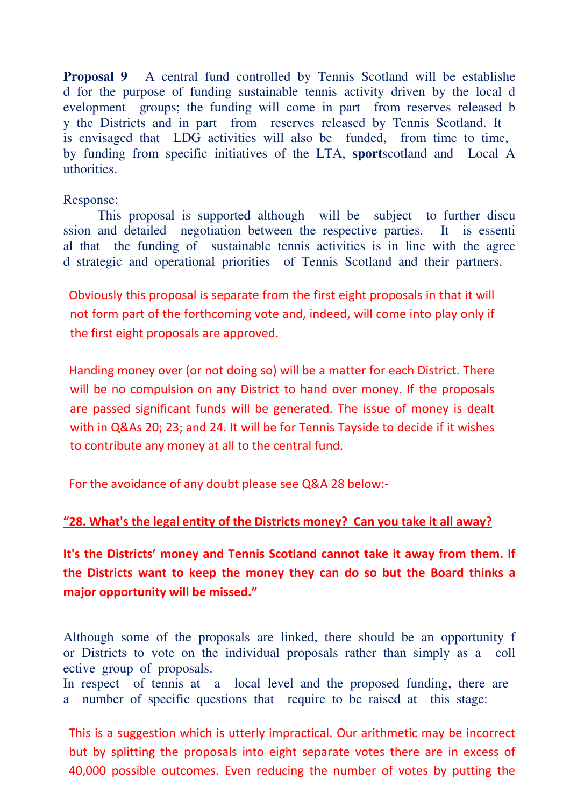**Proposal 9** A central fund controlled by Tennis Scotland will be establishe d for the purpose of funding sustainable tennis activity driven by the local d evelopment groups; the funding will come in part from reserves released b y the Districts and in part from reserves released by Tennis Scotland. It is envisaged that LDG activities will also be funded, from time to time, by funding from specific initiatives of the LTA, **sport**scotland and Local A uthorities.

#### Response:

 This proposal is supported although will be subject to further discu ssion and detailed negotiation between the respective parties. It is essenti al that the funding of sustainable tennis activities is in line with the agree d strategic and operational priorities of Tennis Scotland and their partners.

Obviously this proposal is separate from the first eight proposals in that it will not form part of the forthcoming vote and, indeed, will come into play only if the first eight proposals are approved.

Handing money over (or not doing so) will be a matter for each District. There will be no compulsion on any District to hand over money. If the proposals are passed significant funds will be generated. The issue of money is dealt with in Q&As 20; 23; and 24. It will be for Tennis Tayside to decide if it wishes to contribute any money at all to the central fund.

For the avoidance of any doubt please see Q&A 28 below:-

## "28. What's the legal entity of the Districts money? Can you take it all away?

It's the Districts' money and Tennis Scotland cannot take it away from them. If the Districts want to keep the money they can do so but the Board thinks a major opportunity will be missed."

Although some of the proposals are linked, there should be an opportunity f or Districts to vote on the individual proposals rather than simply as a coll ective group of proposals. In respect of tennis at a local level and the proposed funding, there are a number of specific questions that require to be raised at this stage:

This is a suggestion which is utterly impractical. Our arithmetic may be incorrect but by splitting the proposals into eight separate votes there are in excess of 40,000 possible outcomes. Even reducing the number of votes by putting the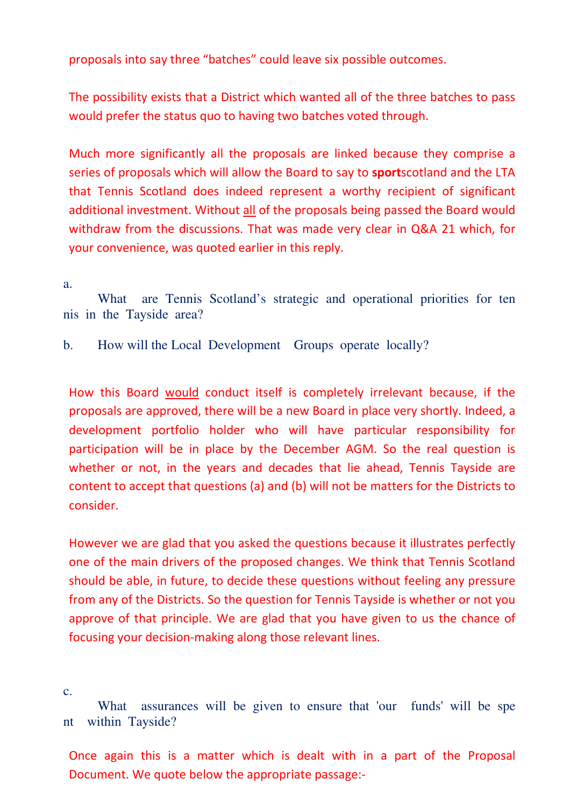proposals into say three "batches" could leave six possible outcomes.

The possibility exists that a District which wanted all of the three batches to pass would prefer the status quo to having two batches voted through.

Much more significantly all the proposals are linked because they comprise a series of proposals which will allow the Board to say to **sport**scotland and the LTA that Tennis Scotland does indeed represent a worthy recipient of significant additional investment. Without all of the proposals being passed the Board would withdraw from the discussions. That was made very clear in Q&A 21 which, for your convenience, was quoted earlier in this reply.

a.

What are Tennis Scotland's strategic and operational priorities for ten nis in the Tayside area?

b. How will the Local Development Groups operate locally?

How this Board would conduct itself is completely irrelevant because, if the proposals are approved, there will be a new Board in place very shortly. Indeed, a development portfolio holder who will have particular responsibility for participation will be in place by the December AGM. So the real question is whether or not, in the years and decades that lie ahead, Tennis Tayside are content to accept that questions (a) and (b) will not be matters for the Districts to consider.

However we are glad that you asked the questions because it illustrates perfectly one of the main drivers of the proposed changes. We think that Tennis Scotland should be able, in future, to decide these questions without feeling any pressure from any of the Districts. So the question for Tennis Tayside is whether or not you approve of that principle. We are glad that you have given to us the chance of focusing your decision-making along those relevant lines.

c.

 What assurances will be given to ensure that 'our funds' will be spe nt within Tayside?

Once again this is a matter which is dealt with in a part of the Proposal Document. We quote below the appropriate passage:-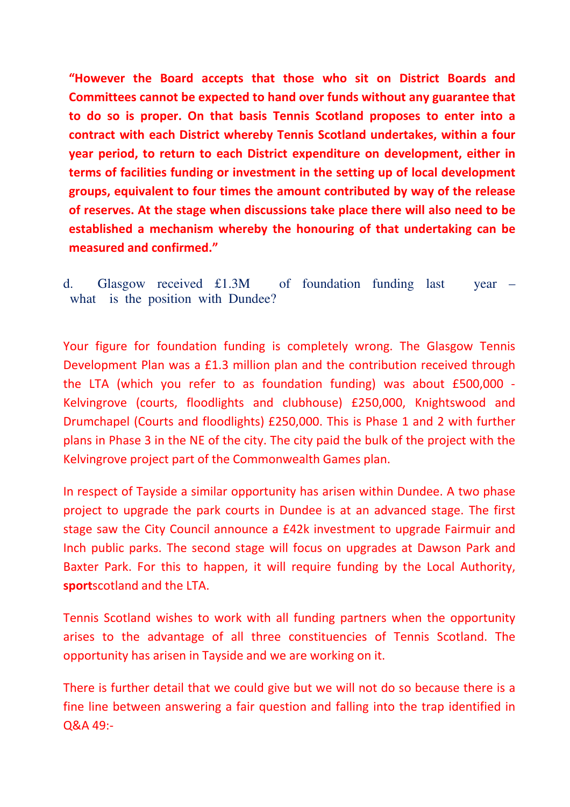"However the Board accepts that those who sit on District Boards and Committees cannot be expected to hand over funds without any guarantee that to do so is proper. On that basis Tennis Scotland proposes to enter into a contract with each District whereby Tennis Scotland undertakes, within a four year period, to return to each District expenditure on development, either in terms of facilities funding or investment in the setting up of local development groups, equivalent to four times the amount contributed by way of the release of reserves. At the stage when discussions take place there will also need to be established a mechanism whereby the honouring of that undertaking can be measured and confirmed."

d. Glasgow received £1.3M of foundation funding last year – what is the position with Dundee?

Your figure for foundation funding is completely wrong. The Glasgow Tennis Development Plan was a £1.3 million plan and the contribution received through the LTA (which you refer to as foundation funding) was about £500,000 - Kelvingrove (courts, floodlights and clubhouse) £250,000, Knightswood and Drumchapel (Courts and floodlights) £250,000. This is Phase 1 and 2 with further plans in Phase 3 in the NE of the city. The city paid the bulk of the project with the Kelvingrove project part of the Commonwealth Games plan.

In respect of Tayside a similar opportunity has arisen within Dundee. A two phase project to upgrade the park courts in Dundee is at an advanced stage. The first stage saw the City Council announce a £42k investment to upgrade Fairmuir and Inch public parks. The second stage will focus on upgrades at Dawson Park and Baxter Park. For this to happen, it will require funding by the Local Authority, sportscotland and the LTA.

Tennis Scotland wishes to work with all funding partners when the opportunity arises to the advantage of all three constituencies of Tennis Scotland. The opportunity has arisen in Tayside and we are working on it.

There is further detail that we could give but we will not do so because there is a fine line between answering a fair question and falling into the trap identified in Q&A 49:-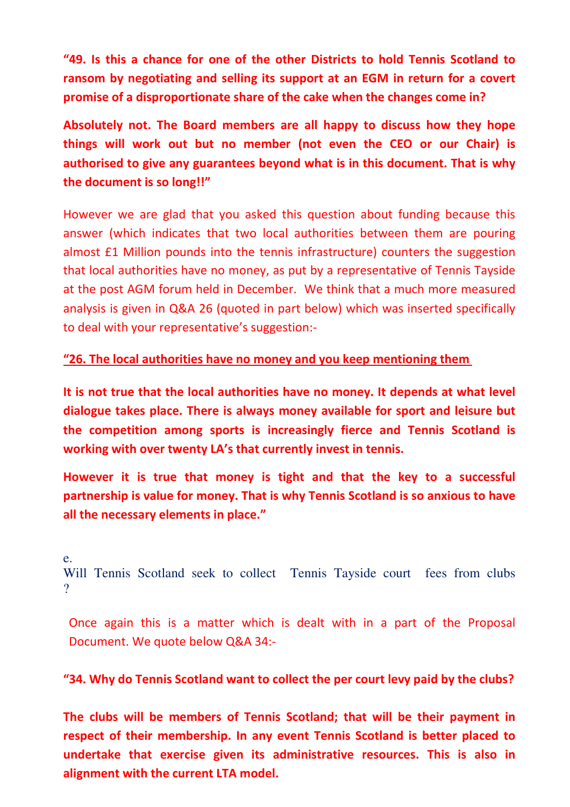"49. Is this a chance for one of the other Districts to hold Tennis Scotland to ransom by negotiating and selling its support at an EGM in return for a covert promise of a disproportionate share of the cake when the changes come in?

Absolutely not. The Board members are all happy to discuss how they hope things will work out but no member (not even the CEO or our Chair) is authorised to give any guarantees beyond what is in this document. That is why the document is so long!!"

However we are glad that you asked this question about funding because this answer (which indicates that two local authorities between them are pouring almost £1 Million pounds into the tennis infrastructure) counters the suggestion that local authorities have no money, as put by a representative of Tennis Tayside at the post AGM forum held in December. We think that a much more measured analysis is given in Q&A 26 (quoted in part below) which was inserted specifically to deal with your representative's suggestion:-

# "26. The local authorities have no money and you keep mentioning them

It is not true that the local authorities have no money. It depends at what level dialogue takes place. There is always money available for sport and leisure but the competition among sports is increasingly fierce and Tennis Scotland is working with over twenty LA's that currently invest in tennis.

However it is true that money is tight and that the key to a successful partnership is value for money. That is why Tennis Scotland is so anxious to have all the necessary elements in place."

e.

Will Tennis Scotland seek to collect Tennis Tayside court fees from clubs  $\gamma$ 

Once again this is a matter which is dealt with in a part of the Proposal Document. We quote below Q&A 34:-

# "34. Why do Tennis Scotland want to collect the per court levy paid by the clubs?

The clubs will be members of Tennis Scotland; that will be their payment in respect of their membership. In any event Tennis Scotland is better placed to undertake that exercise given its administrative resources. This is also in alignment with the current LTA model.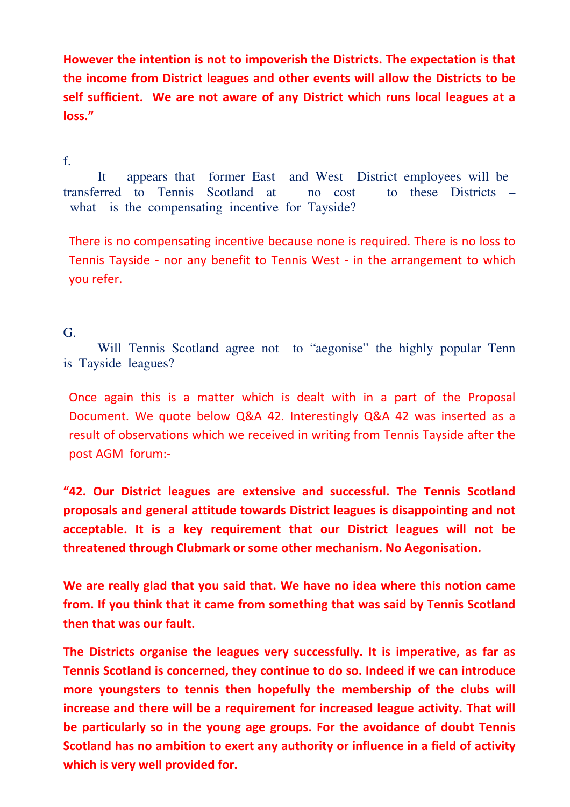However the intention is not to impoverish the Districts. The expectation is that the income from District leagues and other events will allow the Districts to be self sufficient. We are not aware of any District which runs local leagues at a loss."

#### f.

 It appears that former East and West District employees will be transferred to Tennis Scotland at no cost to these Districts – what is the compensating incentive for Tayside?

There is no compensating incentive because none is required. There is no loss to Tennis Tayside - nor any benefit to Tennis West - in the arrangement to which you refer.

### G.

 Will Tennis Scotland agree not to "aegonise" the highly popular Tenn is Tayside leagues?

Once again this is a matter which is dealt with in a part of the Proposal Document. We quote below Q&A 42. Interestingly Q&A 42 was inserted as a result of observations which we received in writing from Tennis Tayside after the post AGM forum:-

"42. Our District leagues are extensive and successful. The Tennis Scotland proposals and general attitude towards District leagues is disappointing and not acceptable. It is a key requirement that our District leagues will not be threatened through Clubmark or some other mechanism. No Aegonisation.

We are really glad that you said that. We have no idea where this notion came from. If you think that it came from something that was said by Tennis Scotland then that was our fault.

The Districts organise the leagues very successfully. It is imperative, as far as Tennis Scotland is concerned, they continue to do so. Indeed if we can introduce more youngsters to tennis then hopefully the membership of the clubs will increase and there will be a requirement for increased league activity. That will be particularly so in the young age groups. For the avoidance of doubt Tennis Scotland has no ambition to exert any authority or influence in a field of activity which is very well provided for.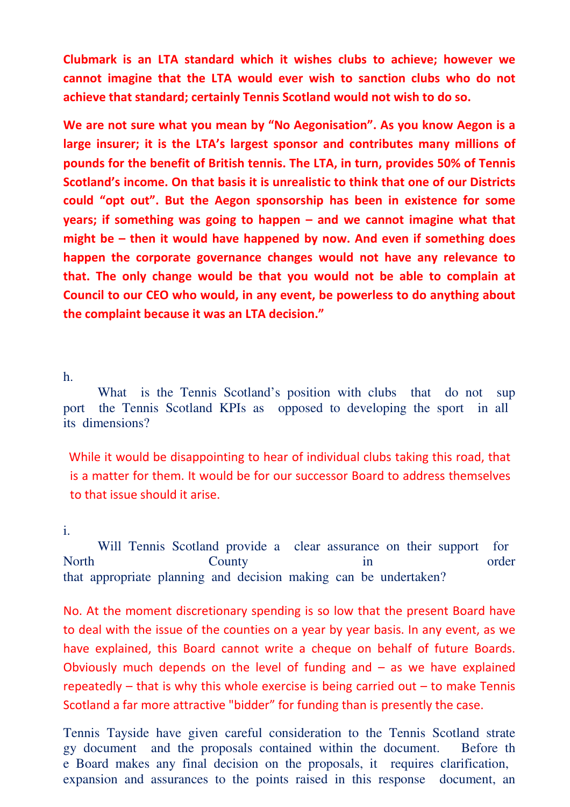Clubmark is an LTA standard which it wishes clubs to achieve; however we cannot imagine that the LTA would ever wish to sanction clubs who do not achieve that standard; certainly Tennis Scotland would not wish to do so.

We are not sure what you mean by "No Aegonisation". As you know Aegon is a large insurer; it is the LTA's largest sponsor and contributes many millions of pounds for the benefit of British tennis. The LTA, in turn, provides 50% of Tennis Scotland's income. On that basis it is unrealistic to think that one of our Districts could "opt out". But the Aegon sponsorship has been in existence for some years; if something was going to happen – and we cannot imagine what that might be – then it would have happened by now. And even if something does happen the corporate governance changes would not have any relevance to that. The only change would be that you would not be able to complain at Council to our CEO who would, in any event, be powerless to do anything about the complaint because it was an LTA decision."

h.

What is the Tennis Scotland's position with clubs that do not sup port the Tennis Scotland KPIs as opposed to developing the sport in all its dimensions?

While it would be disappointing to hear of individual clubs taking this road, that is a matter for them. It would be for our successor Board to address themselves to that issue should it arise.

#### i.

 Will Tennis Scotland provide a clear assurance on their support for North County in order that appropriate planning and decision making can be undertaken?

No. At the moment discretionary spending is so low that the present Board have to deal with the issue of the counties on a year by year basis. In any event, as we have explained, this Board cannot write a cheque on behalf of future Boards. Obviously much depends on the level of funding and  $-$  as we have explained repeatedly – that is why this whole exercise is being carried out – to make Tennis Scotland a far more attractive "bidder" for funding than is presently the case.

Tennis Tayside have given careful consideration to the Tennis Scotland strate gy document and the proposals contained within the document. Before th e Board makes any final decision on the proposals, it requires clarification, expansion and assurances to the points raised in this response document, an